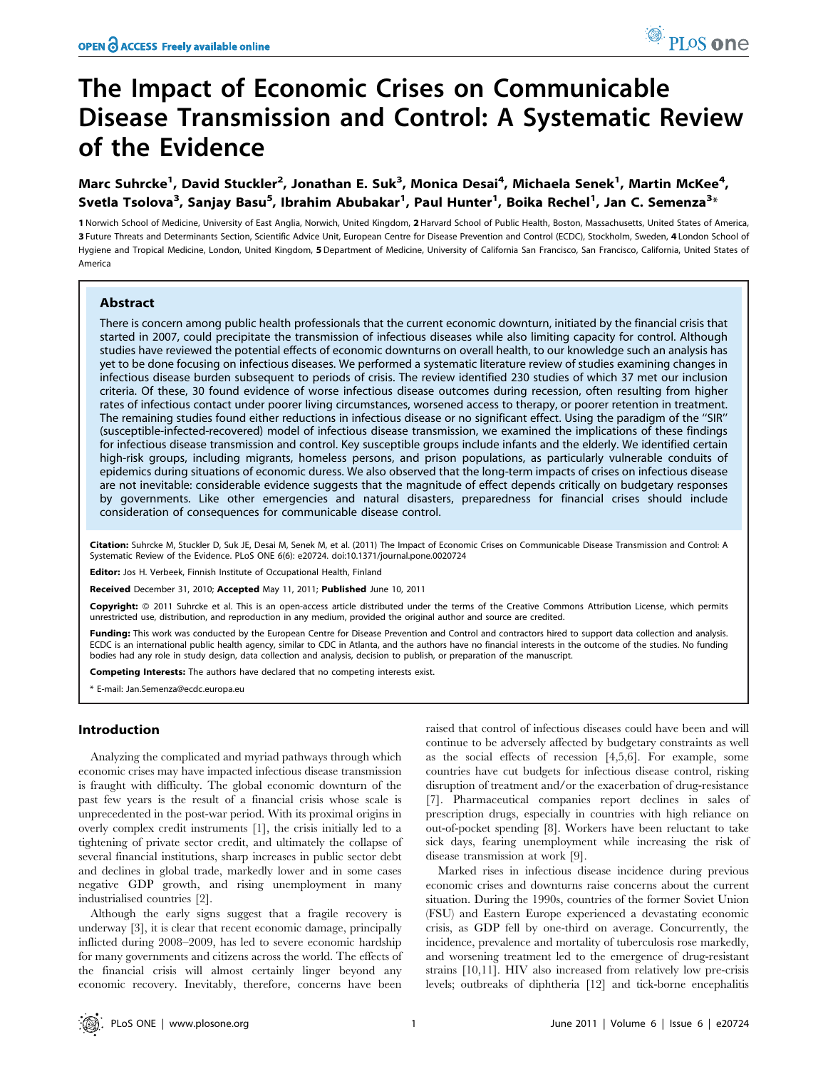# The Impact of Economic Crises on Communicable Disease Transmission and Control: A Systematic Review of the Evidence

# Marc Suhrcke<sup>1</sup>, David Stuckler<sup>2</sup>, Jonathan E. Suk<sup>3</sup>, Monica Desai<sup>4</sup>, Michaela Senek<sup>1</sup>, Martin McKee<sup>4</sup>, Svetla Tsolova<sup>3</sup>, Sanjay Basu<sup>5</sup>, Ibrahim Abubakar<sup>1</sup>, Paul Hunter<sup>1</sup>, Boika Rechel<sup>1</sup>, Jan C. Semenza<sup>3</sup>\*

1 Norwich School of Medicine, University of East Anglia, Norwich, United Kingdom, 2 Harvard School of Public Health, Boston, Massachusetts, United States of America, 3 Future Threats and Determinants Section, Scientific Advice Unit, European Centre for Disease Prevention and Control (ECDC), Stockholm, Sweden, 4 London School of Hygiene and Tropical Medicine, London, United Kingdom, 5 Department of Medicine, University of California San Francisco, San Francisco, California, United States of America

# Abstract

There is concern among public health professionals that the current economic downturn, initiated by the financial crisis that started in 2007, could precipitate the transmission of infectious diseases while also limiting capacity for control. Although studies have reviewed the potential effects of economic downturns on overall health, to our knowledge such an analysis has yet to be done focusing on infectious diseases. We performed a systematic literature review of studies examining changes in infectious disease burden subsequent to periods of crisis. The review identified 230 studies of which 37 met our inclusion criteria. Of these, 30 found evidence of worse infectious disease outcomes during recession, often resulting from higher rates of infectious contact under poorer living circumstances, worsened access to therapy, or poorer retention in treatment. The remaining studies found either reductions in infectious disease or no significant effect. Using the paradigm of the ''SIR'' (susceptible-infected-recovered) model of infectious disease transmission, we examined the implications of these findings for infectious disease transmission and control. Key susceptible groups include infants and the elderly. We identified certain high-risk groups, including migrants, homeless persons, and prison populations, as particularly vulnerable conduits of epidemics during situations of economic duress. We also observed that the long-term impacts of crises on infectious disease are not inevitable: considerable evidence suggests that the magnitude of effect depends critically on budgetary responses by governments. Like other emergencies and natural disasters, preparedness for financial crises should include consideration of consequences for communicable disease control.

Citation: Suhrcke M, Stuckler D, Suk JE, Desai M, Senek M, et al. (2011) The Impact of Economic Crises on Communicable Disease Transmission and Control: A Systematic Review of the Evidence. PLoS ONE 6(6): e20724. doi:10.1371/journal.pone.0020724

Editor: Jos H. Verbeek, Finnish Institute of Occupational Health, Finland

Received December 31, 2010; Accepted May 11, 2011; Published June 10, 2011

Copyright: © 2011 Suhrcke et al. This is an open-access article distributed under the terms of the Creative Commons Attribution License, which permits unrestricted use, distribution, and reproduction in any medium, provided the original author and source are credited.

Funding: This work was conducted by the European Centre for Disease Prevention and Control and contractors hired to support data collection and analysis. ECDC is an international public health agency, similar to CDC in Atlanta, and the authors have no financial interests in the outcome of the studies. No funding bodies had any role in study design, data collection and analysis, decision to publish, or preparation of the manuscript.

Competing Interests: The authors have declared that no competing interests exist.

\* E-mail: Jan.Semenza@ecdc.europa.eu

# Introduction

Analyzing the complicated and myriad pathways through which economic crises may have impacted infectious disease transmission is fraught with difficulty. The global economic downturn of the past few years is the result of a financial crisis whose scale is unprecedented in the post-war period. With its proximal origins in overly complex credit instruments [1], the crisis initially led to a tightening of private sector credit, and ultimately the collapse of several financial institutions, sharp increases in public sector debt and declines in global trade, markedly lower and in some cases negative GDP growth, and rising unemployment in many industrialised countries [2].

Although the early signs suggest that a fragile recovery is underway [3], it is clear that recent economic damage, principally inflicted during 2008–2009, has led to severe economic hardship for many governments and citizens across the world. The effects of the financial crisis will almost certainly linger beyond any economic recovery. Inevitably, therefore, concerns have been

raised that control of infectious diseases could have been and will continue to be adversely affected by budgetary constraints as well as the social effects of recession [4,5,6]. For example, some countries have cut budgets for infectious disease control, risking disruption of treatment and/or the exacerbation of drug-resistance [7]. Pharmaceutical companies report declines in sales of prescription drugs, especially in countries with high reliance on out-of-pocket spending [8]. Workers have been reluctant to take sick days, fearing unemployment while increasing the risk of disease transmission at work [9].

Marked rises in infectious disease incidence during previous economic crises and downturns raise concerns about the current situation. During the 1990s, countries of the former Soviet Union (FSU) and Eastern Europe experienced a devastating economic crisis, as GDP fell by one-third on average. Concurrently, the incidence, prevalence and mortality of tuberculosis rose markedly, and worsening treatment led to the emergence of drug-resistant strains [10,11]. HIV also increased from relatively low pre-crisis levels; outbreaks of diphtheria [12] and tick-borne encephalitis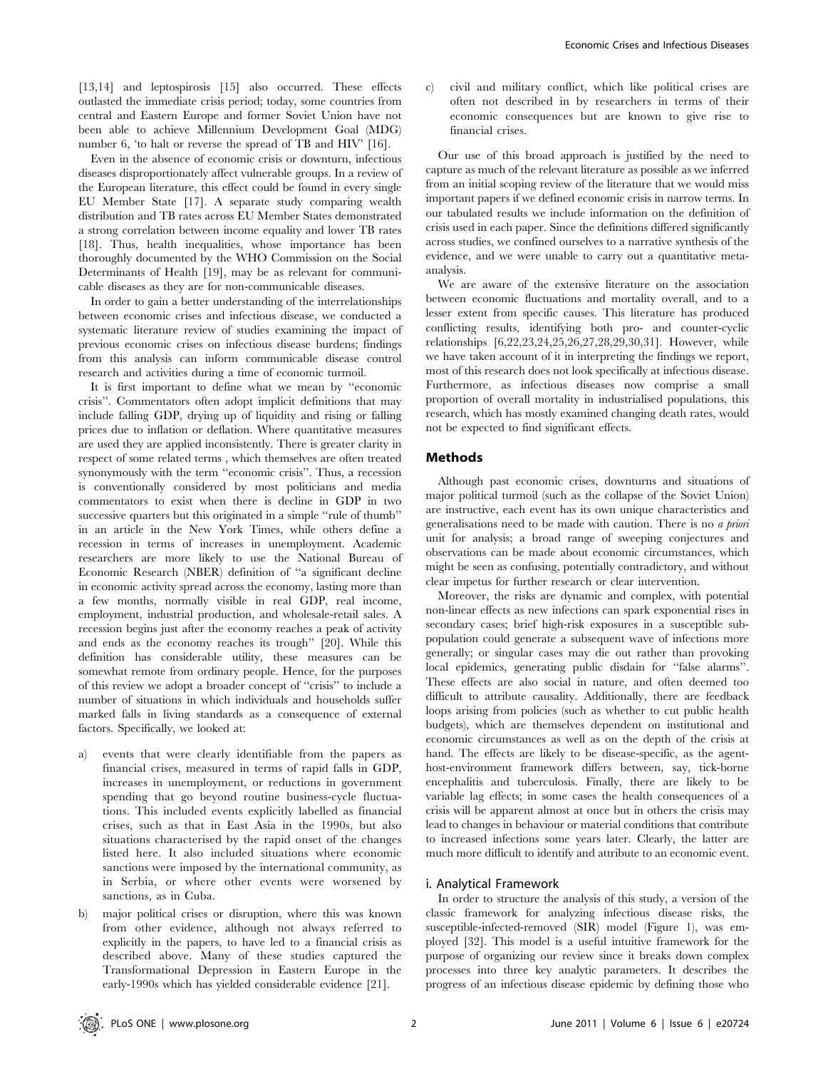[13,14] and leptospirosis [15] also occurred. These effects outlasted the immediate crisis period; today, some countries from central and Eastern Europe and former Soviet Union have not been able to achieve Millennium Development Goal (MDG) number 6, 'to halt or reverse the spread of TB and HIV' [16].

Even in the absence of economic crisis or downturn, infectious diseases disproportionately affect vulnerable groups. In a review of the European literature, this effect could be found in every single EU Member State [17]. A separate study comparing wealth distribution and TB rates across EU Member States demonstrated a strong correlation between income equality and lower TB rates [18]. Thus, health inequalities, whose importance has been thoroughly documented by the WHO Commission on the Social Determinants of Health [19], may be as relevant for communicable diseases as they are for non-communicable diseases.

In order to gain a better understanding of the interrelationships between economic crises and infectious disease, we conducted a systematic literature review of studies examining the impact of previous economic crises on infectious disease burdens; findings from this analysis can inform communicable disease control research and activities during a time of economic turmoil.

It is first important to define what we mean by ''economic crisis''. Commentators often adopt implicit definitions that may include falling GDP, drying up of liquidity and rising or falling prices due to inflation or deflation. Where quantitative measures are used they are applied inconsistently. There is greater clarity in respect of some related terms , which themselves are often treated synonymously with the term ''economic crisis''. Thus, a recession is conventionally considered by most politicians and media commentators to exist when there is decline in GDP in two successive quarters but this originated in a simple "rule of thumb" in an article in the New York Times, while others define a recession in terms of increases in unemployment. Academic researchers are more likely to use the National Bureau of Economic Research (NBER) definition of ''a significant decline in economic activity spread across the economy, lasting more than a few months, normally visible in real GDP, real income, employment, industrial production, and wholesale-retail sales. A recession begins just after the economy reaches a peak of activity and ends as the economy reaches its trough'' [20]. While this definition has considerable utility, these measures can be somewhat remote from ordinary people. Hence, for the purposes of this review we adopt a broader concept of ''crisis'' to include a number of situations in which individuals and households suffer marked falls in living standards as a consequence of external factors. Specifically, we looked at:

- a) events that were clearly identifiable from the papers as financial crises, measured in terms of rapid falls in GDP, increases in unemployment, or reductions in government spending that go beyond routine business-cycle fluctuations. This included events explicitly labelled as financial crises, such as that in East Asia in the 1990s, but also situations characterised by the rapid onset of the changes listed here. It also included situations where economic sanctions were imposed by the international community, as in Serbia, or where other events were worsened by sanctions, as in Cuba.
- b) major political crises or disruption, where this was known from other evidence, although not always referred to explicitly in the papers, to have led to a financial crisis as described above. Many of these studies captured the Transformational Depression in Eastern Europe in the early-1990s which has yielded considerable evidence [21].

c) civil and military conflict, which like political crises are often not described in by researchers in terms of their economic consequences but are known to give rise to financial crises.

Our use of this broad approach is justified by the need to capture as much of the relevant literature as possible as we inferred from an initial scoping review of the literature that we would miss important papers if we defined economic crisis in narrow terms. In our tabulated results we include information on the definition of crisis used in each paper. Since the definitions differed significantly across studies, we confined ourselves to a narrative synthesis of the evidence, and we were unable to carry out a quantitative metaanalysis.

We are aware of the extensive literature on the association between economic fluctuations and mortality overall, and to a lesser extent from specific causes. This literature has produced conflicting results, identifying both pro- and counter-cyclic relationships [6,22,23,24,25,26,27,28,29,30,31]. However, while we have taken account of it in interpreting the findings we report, most of this research does not look specifically at infectious disease. Furthermore, as infectious diseases now comprise a small proportion of overall mortality in industrialised populations, this research, which has mostly examined changing death rates, would not be expected to find significant effects.

# Methods

Although past economic crises, downturns and situations of major political turmoil (such as the collapse of the Soviet Union) are instructive, each event has its own unique characteristics and generalisations need to be made with caution. There is no a priori unit for analysis; a broad range of sweeping conjectures and observations can be made about economic circumstances, which might be seen as confusing, potentially contradictory, and without clear impetus for further research or clear intervention.

Moreover, the risks are dynamic and complex, with potential non-linear effects as new infections can spark exponential rises in secondary cases; brief high-risk exposures in a susceptible subpopulation could generate a subsequent wave of infections more generally; or singular cases may die out rather than provoking local epidemics, generating public disdain for ''false alarms''. These effects are also social in nature, and often deemed too difficult to attribute causality. Additionally, there are feedback loops arising from policies (such as whether to cut public health budgets), which are themselves dependent on institutional and economic circumstances as well as on the depth of the crisis at hand. The effects are likely to be disease-specific, as the agenthost-environment framework differs between, say, tick-borne encephalitis and tuberculosis. Finally, there are likely to be variable lag effects; in some cases the health consequences of a crisis will be apparent almost at once but in others the crisis may lead to changes in behaviour or material conditions that contribute to increased infections some years later. Clearly, the latter are much more difficult to identify and attribute to an economic event.

# i. Analytical Framework

In order to structure the analysis of this study, a version of the classic framework for analyzing infectious disease risks, the susceptible-infected-removed (SIR) model (Figure 1), was employed [32]. This model is a useful intuitive framework for the purpose of organizing our review since it breaks down complex processes into three key analytic parameters. It describes the progress of an infectious disease epidemic by defining those who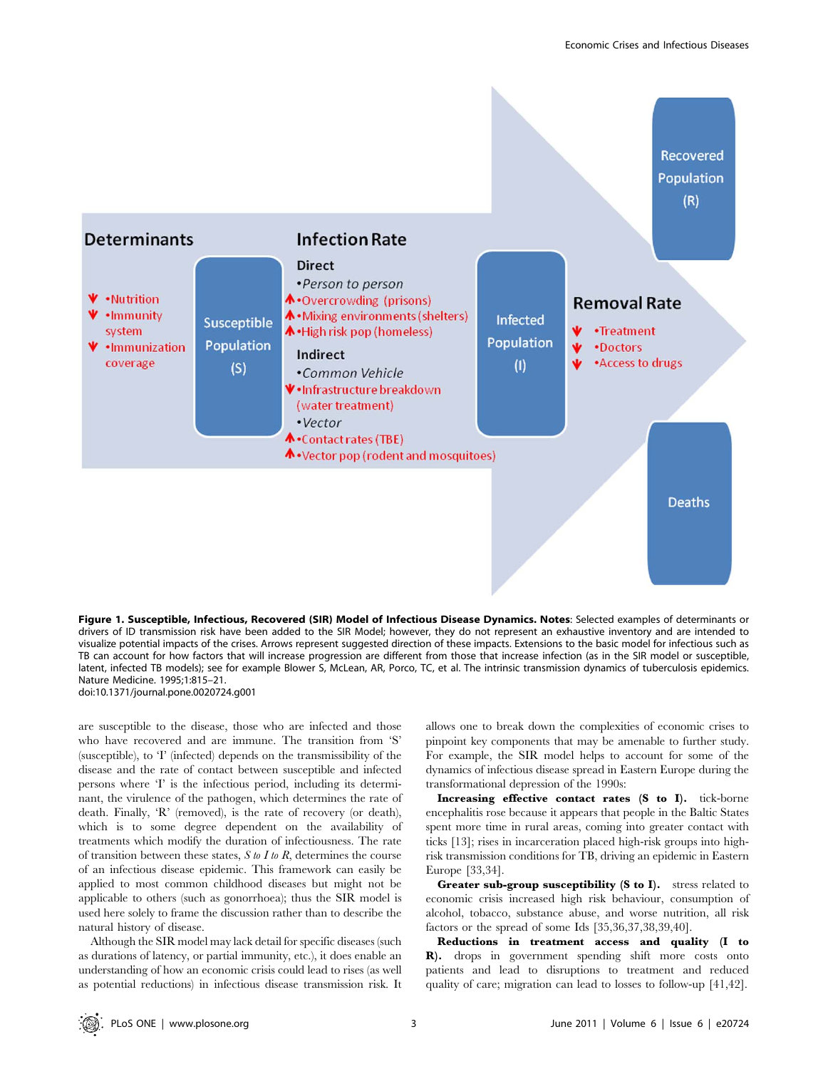

Figure 1. Susceptible, Infectious, Recovered (SIR) Model of Infectious Disease Dynamics. Notes: Selected examples of determinants or drivers of ID transmission risk have been added to the SIR Model; however, they do not represent an exhaustive inventory and are intended to visualize potential impacts of the crises. Arrows represent suggested direction of these impacts. Extensions to the basic model for infectious such as TB can account for how factors that will increase progression are different from those that increase infection (as in the SIR model or susceptible, latent, infected TB models); see for example Blower S, McLean, AR, Porco, TC, et al. The intrinsic transmission dynamics of tuberculosis epidemics. Nature Medicine. 1995;1:815–21. doi:10.1371/journal.pone.0020724.g001

are susceptible to the disease, those who are infected and those who have recovered and are immune. The transition from 'S' (susceptible), to 'I' (infected) depends on the transmissibility of the disease and the rate of contact between susceptible and infected persons where 'I' is the infectious period, including its determinant, the virulence of the pathogen, which determines the rate of death. Finally, 'R' (removed), is the rate of recovery (or death), which is to some degree dependent on the availability of treatments which modify the duration of infectiousness. The rate of transition between these states,  $S$  to  $I$  to  $R$ , determines the course of an infectious disease epidemic. This framework can easily be applied to most common childhood diseases but might not be applicable to others (such as gonorrhoea); thus the SIR model is used here solely to frame the discussion rather than to describe the natural history of disease.

Although the SIR model may lack detail for specific diseases (such as durations of latency, or partial immunity, etc.), it does enable an understanding of how an economic crisis could lead to rises (as well as potential reductions) in infectious disease transmission risk. It allows one to break down the complexities of economic crises to pinpoint key components that may be amenable to further study. For example, the SIR model helps to account for some of the dynamics of infectious disease spread in Eastern Europe during the transformational depression of the 1990s:

Increasing effective contact rates (S to I). tick-borne encephalitis rose because it appears that people in the Baltic States spent more time in rural areas, coming into greater contact with ticks [13]; rises in incarceration placed high-risk groups into highrisk transmission conditions for TB, driving an epidemic in Eastern Europe [33,34].

Greater sub-group susceptibility (S to I). stress related to economic crisis increased high risk behaviour, consumption of alcohol, tobacco, substance abuse, and worse nutrition, all risk factors or the spread of some Ids [35,36,37,38,39,40].

Reductions in treatment access and quality (I to R). drops in government spending shift more costs onto patients and lead to disruptions to treatment and reduced quality of care; migration can lead to losses to follow-up [41,42].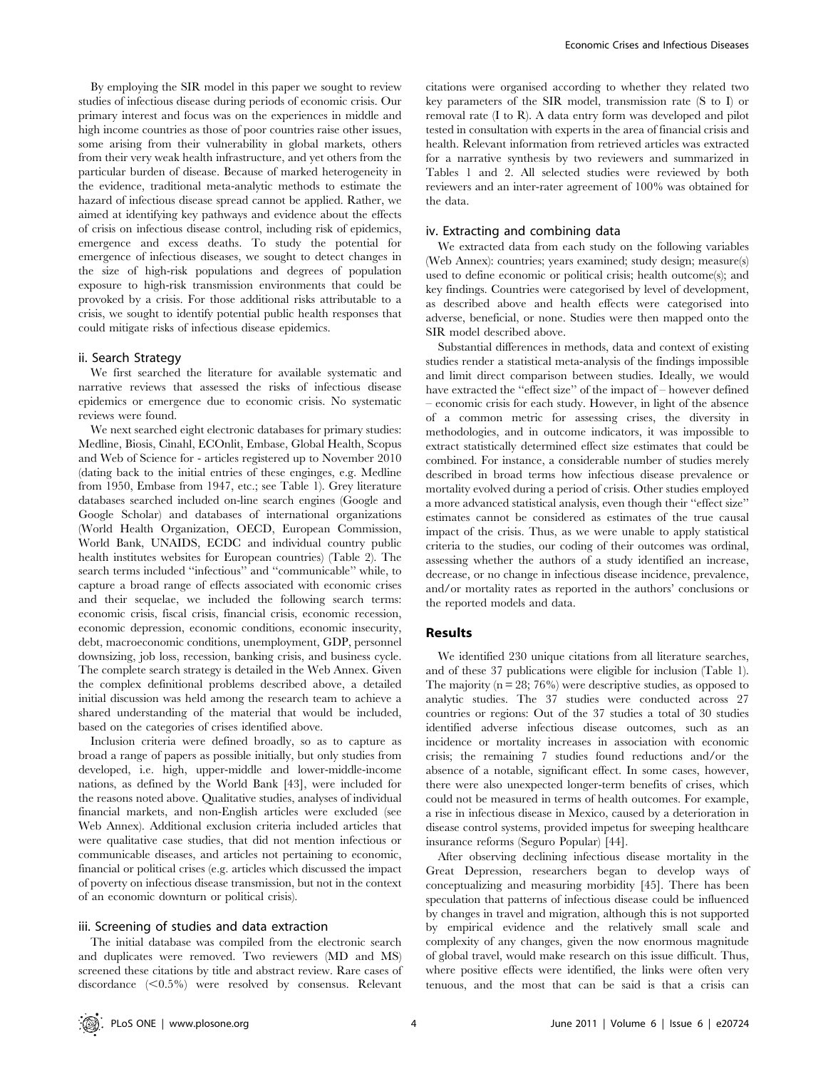By employing the SIR model in this paper we sought to review studies of infectious disease during periods of economic crisis. Our primary interest and focus was on the experiences in middle and high income countries as those of poor countries raise other issues, some arising from their vulnerability in global markets, others from their very weak health infrastructure, and yet others from the particular burden of disease. Because of marked heterogeneity in the evidence, traditional meta-analytic methods to estimate the hazard of infectious disease spread cannot be applied. Rather, we aimed at identifying key pathways and evidence about the effects of crisis on infectious disease control, including risk of epidemics, emergence and excess deaths. To study the potential for emergence of infectious diseases, we sought to detect changes in the size of high-risk populations and degrees of population exposure to high-risk transmission environments that could be provoked by a crisis. For those additional risks attributable to a crisis, we sought to identify potential public health responses that could mitigate risks of infectious disease epidemics.

## ii. Search Strategy

We first searched the literature for available systematic and narrative reviews that assessed the risks of infectious disease epidemics or emergence due to economic crisis. No systematic reviews were found.

We next searched eight electronic databases for primary studies: Medline, Biosis, Cinahl, ECOnlit, Embase, Global Health, Scopus and Web of Science for - articles registered up to November 2010 (dating back to the initial entries of these enginges, e.g. Medline from 1950, Embase from 1947, etc.; see Table 1). Grey literature databases searched included on-line search engines (Google and Google Scholar) and databases of international organizations (World Health Organization, OECD, European Commission, World Bank, UNAIDS, ECDC and individual country public health institutes websites for European countries) (Table 2). The search terms included ''infectious'' and ''communicable'' while, to capture a broad range of effects associated with economic crises and their sequelae, we included the following search terms: economic crisis, fiscal crisis, financial crisis, economic recession, economic depression, economic conditions, economic insecurity, debt, macroeconomic conditions, unemployment, GDP, personnel downsizing, job loss, recession, banking crisis, and business cycle. The complete search strategy is detailed in the Web Annex. Given the complex definitional problems described above, a detailed initial discussion was held among the research team to achieve a shared understanding of the material that would be included, based on the categories of crises identified above.

Inclusion criteria were defined broadly, so as to capture as broad a range of papers as possible initially, but only studies from developed, i.e. high, upper-middle and lower-middle-income nations, as defined by the World Bank [43], were included for the reasons noted above. Qualitative studies, analyses of individual financial markets, and non-English articles were excluded (see Web Annex). Additional exclusion criteria included articles that were qualitative case studies, that did not mention infectious or communicable diseases, and articles not pertaining to economic, financial or political crises (e.g. articles which discussed the impact of poverty on infectious disease transmission, but not in the context of an economic downturn or political crisis).

# iii. Screening of studies and data extraction

The initial database was compiled from the electronic search and duplicates were removed. Two reviewers (MD and MS) screened these citations by title and abstract review. Rare cases of discordance  $(<0.5\%)$  were resolved by consensus. Relevant

citations were organised according to whether they related two key parameters of the SIR model, transmission rate (S to I) or removal rate (I to R). A data entry form was developed and pilot tested in consultation with experts in the area of financial crisis and health. Relevant information from retrieved articles was extracted for a narrative synthesis by two reviewers and summarized in Tables 1 and 2. All selected studies were reviewed by both reviewers and an inter-rater agreement of 100% was obtained for the data.

## iv. Extracting and combining data

We extracted data from each study on the following variables (Web Annex): countries; years examined; study design; measure(s) used to define economic or political crisis; health outcome(s); and key findings. Countries were categorised by level of development, as described above and health effects were categorised into adverse, beneficial, or none. Studies were then mapped onto the SIR model described above.

Substantial differences in methods, data and context of existing studies render a statistical meta-analysis of the findings impossible and limit direct comparison between studies. Ideally, we would have extracted the ''effect size'' of the impact of – however defined – economic crisis for each study. However, in light of the absence of a common metric for assessing crises, the diversity in methodologies, and in outcome indicators, it was impossible to extract statistically determined effect size estimates that could be combined. For instance, a considerable number of studies merely described in broad terms how infectious disease prevalence or mortality evolved during a period of crisis. Other studies employed a more advanced statistical analysis, even though their ''effect size'' estimates cannot be considered as estimates of the true causal impact of the crisis. Thus, as we were unable to apply statistical criteria to the studies, our coding of their outcomes was ordinal, assessing whether the authors of a study identified an increase, decrease, or no change in infectious disease incidence, prevalence, and/or mortality rates as reported in the authors' conclusions or the reported models and data.

#### Results

We identified 230 unique citations from all literature searches, and of these 37 publications were eligible for inclusion (Table 1). The majority  $(n = 28; 76%)$  were descriptive studies, as opposed to analytic studies. The 37 studies were conducted across 27 countries or regions: Out of the 37 studies a total of 30 studies identified adverse infectious disease outcomes, such as an incidence or mortality increases in association with economic crisis; the remaining 7 studies found reductions and/or the absence of a notable, significant effect. In some cases, however, there were also unexpected longer-term benefits of crises, which could not be measured in terms of health outcomes. For example, a rise in infectious disease in Mexico, caused by a deterioration in disease control systems, provided impetus for sweeping healthcare insurance reforms (Seguro Popular) [44].

After observing declining infectious disease mortality in the Great Depression, researchers began to develop ways of conceptualizing and measuring morbidity [45]. There has been speculation that patterns of infectious disease could be influenced by changes in travel and migration, although this is not supported by empirical evidence and the relatively small scale and complexity of any changes, given the now enormous magnitude of global travel, would make research on this issue difficult. Thus, where positive effects were identified, the links were often very tenuous, and the most that can be said is that a crisis can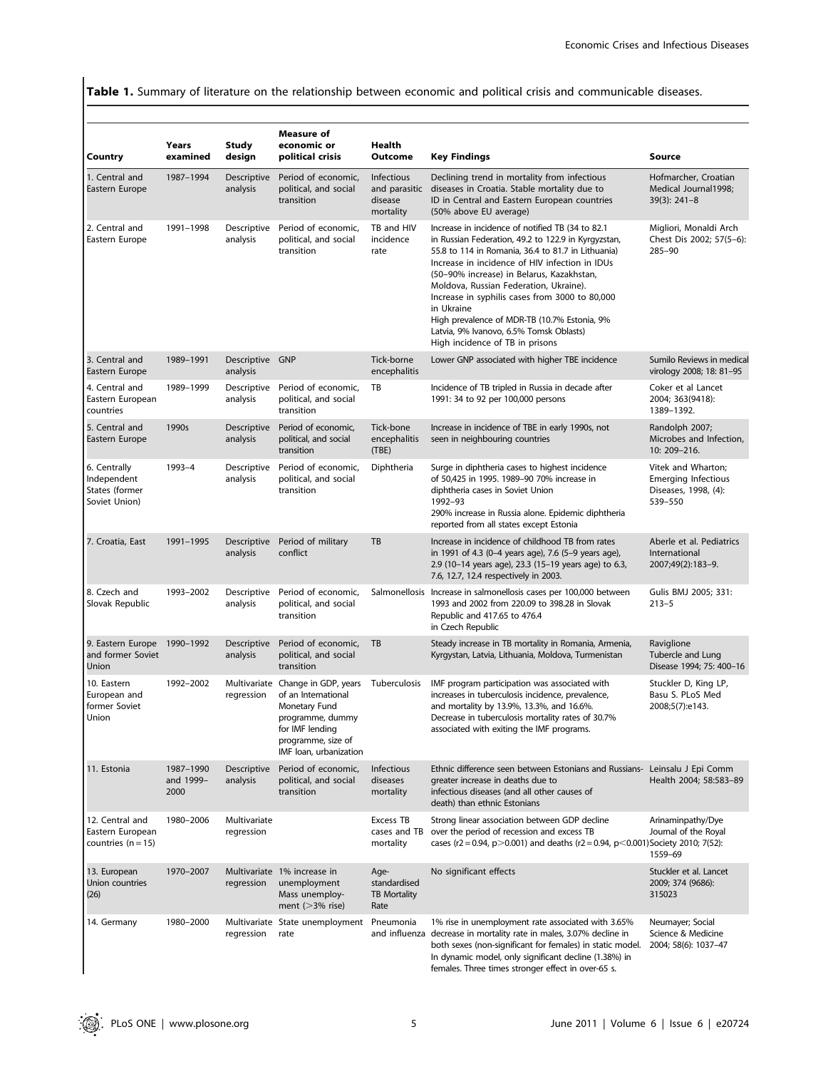Table 1. Summary of literature on the relationship between economic and political crisis and communicable diseases.

| Country                                                        | Years<br>examined              | <b>Study</b><br>design      | Measure of<br>economic or<br>political crisis                                                                                                                    | Health<br>Outcome                                   | <b>Key Findings</b>                                                                                                                                                                                                                                                                                                                                                                                                                                                                                   | Source                                                                              |
|----------------------------------------------------------------|--------------------------------|-----------------------------|------------------------------------------------------------------------------------------------------------------------------------------------------------------|-----------------------------------------------------|-------------------------------------------------------------------------------------------------------------------------------------------------------------------------------------------------------------------------------------------------------------------------------------------------------------------------------------------------------------------------------------------------------------------------------------------------------------------------------------------------------|-------------------------------------------------------------------------------------|
| 1. Central and<br>Eastern Europe                               | 1987-1994                      | Descriptive<br>analysis     | Period of economic,<br>political, and social<br>transition                                                                                                       | Infectious<br>and parasitic<br>disease<br>mortality | Declining trend in mortality from infectious<br>diseases in Croatia. Stable mortality due to<br>ID in Central and Eastern European countries<br>(50% above EU average)                                                                                                                                                                                                                                                                                                                                | Hofmarcher, Croatian<br>Medical Journal1998;<br>$39(3): 241-8$                      |
| 2. Central and<br>Eastern Europe                               | 1991-1998                      | Descriptive<br>analysis     | Period of economic,<br>political, and social<br>transition                                                                                                       | TB and HIV<br>incidence<br>rate                     | Increase in incidence of notified TB (34 to 82.1)<br>in Russian Federation, 49.2 to 122.9 in Kyrgyzstan,<br>55.8 to 114 in Romania, 36.4 to 81.7 in Lithuania)<br>Increase in incidence of HIV infection in IDUs<br>(50-90% increase) in Belarus, Kazakhstan,<br>Moldova, Russian Federation, Ukraine).<br>Increase in syphilis cases from 3000 to 80,000<br>in Ukraine<br>High prevalence of MDR-TB (10.7% Estonia, 9%<br>Latvia, 9% Ivanovo, 6.5% Tomsk Oblasts)<br>High incidence of TB in prisons | Migliori, Monaldi Arch<br>Chest Dis 2002; 57(5-6):<br>285-90                        |
| 3. Central and<br>Eastern Europe                               | 1989-1991                      | Descriptive GNP<br>analysis |                                                                                                                                                                  | Tick-borne<br>encephalitis                          | Lower GNP associated with higher TBE incidence                                                                                                                                                                                                                                                                                                                                                                                                                                                        | Sumilo Reviews in medical<br>virology 2008; 18: 81-95                               |
| 4. Central and<br>Eastern European<br>countries                | 1989-1999                      | Descriptive<br>analysis     | Period of economic,<br>political, and social<br>transition                                                                                                       | TB                                                  | Incidence of TB tripled in Russia in decade after<br>1991: 34 to 92 per 100,000 persons                                                                                                                                                                                                                                                                                                                                                                                                               | Coker et al Lancet<br>2004; 363(9418):<br>1389-1392.                                |
| 5. Central and<br>Eastern Europe                               | 1990s                          | Descriptive<br>analysis     | Period of economic,<br>political, and social<br>transition                                                                                                       | Tick-bone<br>encephalitis<br>(TBE)                  | Increase in incidence of TBE in early 1990s, not<br>seen in neighbouring countries                                                                                                                                                                                                                                                                                                                                                                                                                    | Randolph 2007;<br>Microbes and Infection,<br>10: 209-216.                           |
| 6. Centrally<br>Independent<br>States (former<br>Soviet Union) | 1993-4                         | Descriptive<br>analysis     | Period of economic,<br>political, and social<br>transition                                                                                                       | Diphtheria                                          | Surge in diphtheria cases to highest incidence<br>of 50,425 in 1995. 1989-90 70% increase in<br>diphtheria cases in Soviet Union<br>1992-93<br>290% increase in Russia alone. Epidemic diphtheria<br>reported from all states except Estonia                                                                                                                                                                                                                                                          | Vitek and Wharton;<br><b>Emerging Infectious</b><br>Diseases, 1998, (4):<br>539-550 |
| 7. Croatia, East                                               | 1991-1995                      | Descriptive<br>analysis     | Period of military<br>conflict                                                                                                                                   | TB                                                  | Increase in incidence of childhood TB from rates<br>in 1991 of 4.3 (0-4 years age), 7.6 (5-9 years age),<br>2.9 (10-14 years age), 23.3 (15-19 years age) to 6.3,<br>7.6, 12.7, 12.4 respectively in 2003.                                                                                                                                                                                                                                                                                            | Aberle et al. Pediatrics<br>International<br>2007;49(2):183-9.                      |
| 8. Czech and<br>Slovak Republic                                | 1993-2002                      | Descriptive<br>analysis     | Period of economic,<br>political, and social<br>transition                                                                                                       |                                                     | Salmonellosis Increase in salmonellosis cases per 100,000 between<br>1993 and 2002 from 220.09 to 398.28 in Slovak<br>Republic and 417.65 to 476.4<br>in Czech Republic                                                                                                                                                                                                                                                                                                                               | Gulis BMJ 2005; 331:<br>$213 - 5$                                                   |
| 9. Eastern Europe 1990-1992<br>and former Soviet<br>Union      |                                | Descriptive<br>analysis     | Period of economic,<br>political, and social<br>transition                                                                                                       | TB                                                  | Steady increase in TB mortality in Romania, Armenia,<br>Kyrgystan, Latvia, Lithuania, Moldova, Turmenistan                                                                                                                                                                                                                                                                                                                                                                                            | Raviglione<br>Tubercle and Lung<br>Disease 1994; 75: 400-16                         |
| 10. Eastern<br>European and<br>former Soviet<br>Union          | 1992-2002                      | regression                  | Multivariate Change in GDP, years<br>of an International<br>Monetary Fund<br>programme, dummy<br>for IMF lending<br>programme, size of<br>IMF Ioan, urbanization | Tuberculosis                                        | IMF program participation was associated with<br>increases in tuberculosis incidence, prevalence,<br>and mortality by 13.9%, 13.3%, and 16.6%.<br>Decrease in tuberculosis mortality rates of 30.7%<br>associated with exiting the IMF programs.                                                                                                                                                                                                                                                      | Stuckler D, King LP,<br>Basu S. PLoS Med<br>2008;5(7):e143.                         |
| 11. Estonia                                                    | 1987-1990<br>and 1999-<br>2000 | Descriptive<br>analysis     | Period of economic,<br>political, and social<br>transition                                                                                                       | Infectious<br>diseases<br>mortality                 | Ethnic difference seen between Estonians and Russians- Leinsalu J Epi Comm<br>greater increase in deaths due to<br>infectious diseases (and all other causes of<br>death) than ethnic Estonians                                                                                                                                                                                                                                                                                                       | Health 2004; 58:583-89                                                              |
| 12. Central and<br>Eastern European<br>countries $(n = 15)$    | 1980-2006                      | Multivariate<br>regression  |                                                                                                                                                                  | Excess TB<br>cases and TB<br>mortality              | Strong linear association between GDP decline<br>over the period of recession and excess TB<br>cases (r2 = 0.94, p>0.001) and deaths (r2 = 0.94, p<0.001) Society 2010; 7(52):                                                                                                                                                                                                                                                                                                                        | Arinaminpathy/Dye<br>Journal of the Royal<br>1559-69                                |
| 13. European<br>Union countries<br>(26)                        | 1970-2007                      | regression                  | Multivariate 1% increase in<br>unemployment<br>Mass unemploy-<br>ment $(>\!\!3\%$ rise)                                                                          | Age-<br>standardised<br><b>TB Mortality</b><br>Rate | No significant effects                                                                                                                                                                                                                                                                                                                                                                                                                                                                                | Stuckler et al. Lancet<br>2009; 374 (9686):<br>315023                               |
| 14. Germany                                                    | 1980-2000                      | regression                  | Multivariate State unemployment<br>rate                                                                                                                          | Pneumonia                                           | 1% rise in unemployment rate associated with 3.65%<br>and influenza decrease in mortality rate in males, 3.07% decline in<br>both sexes (non-significant for females) in static model.<br>In dynamic model, only significant decline (1.38%) in<br>females. Three times stronger effect in over-65 s.                                                                                                                                                                                                 | Neumayer; Social<br>Science & Medicine<br>2004; 58(6): 1037-47                      |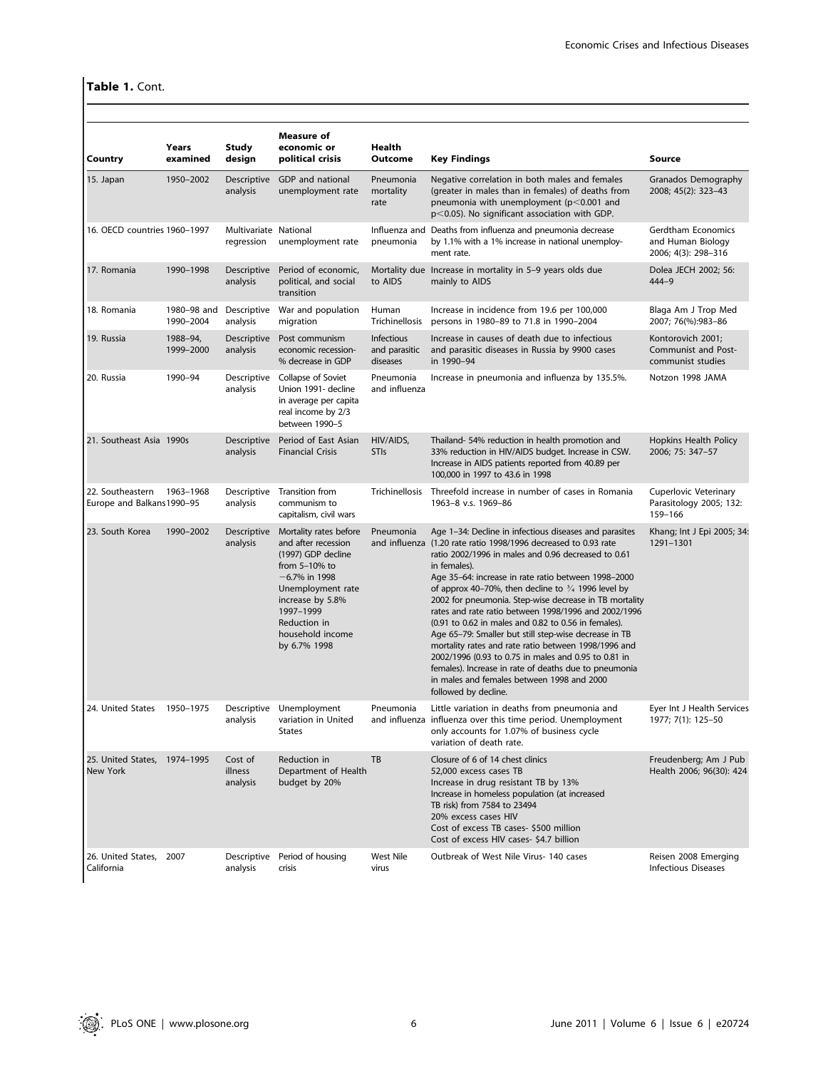# Table 1. Cont.

|                                                 | Years                    | <b>Study</b>                        | <b>Measure of</b><br>economic or                                                                                                                                                                                     | Health                                         |                                                                                                                                                                                                                                                                                                                                                                                                                                                                                                                                                                                                                                                                                                                                                                                                            |                                                                |
|-------------------------------------------------|--------------------------|-------------------------------------|----------------------------------------------------------------------------------------------------------------------------------------------------------------------------------------------------------------------|------------------------------------------------|------------------------------------------------------------------------------------------------------------------------------------------------------------------------------------------------------------------------------------------------------------------------------------------------------------------------------------------------------------------------------------------------------------------------------------------------------------------------------------------------------------------------------------------------------------------------------------------------------------------------------------------------------------------------------------------------------------------------------------------------------------------------------------------------------------|----------------------------------------------------------------|
| Country                                         | examined                 | design                              | political crisis                                                                                                                                                                                                     | Outcome                                        | <b>Key Findings</b>                                                                                                                                                                                                                                                                                                                                                                                                                                                                                                                                                                                                                                                                                                                                                                                        | Source                                                         |
| 15. Japan                                       | 1950-2002                | Descriptive<br>analysis             | GDP and national<br>unemployment rate                                                                                                                                                                                | Pneumonia<br>mortality<br>rate                 | Negative correlation in both males and females<br>(greater in males than in females) of deaths from<br>pneumonia with unemployment ( $p$ <0.001 and<br>$p$ <0.05). No significant association with GDP.                                                                                                                                                                                                                                                                                                                                                                                                                                                                                                                                                                                                    | Granados Demography<br>2008; 45(2): 323-43                     |
| 16. OECD countries 1960-1997                    |                          | Multivariate National<br>regression | unemployment rate                                                                                                                                                                                                    | pneumonia                                      | Influenza and Deaths from influenza and pneumonia decrease<br>by 1.1% with a 1% increase in national unemploy-<br>ment rate.                                                                                                                                                                                                                                                                                                                                                                                                                                                                                                                                                                                                                                                                               | Gerdtham Economics<br>and Human Biology<br>2006; 4(3): 298-316 |
| 17. Romania                                     | 1990-1998                | Descriptive<br>analysis             | Period of economic,<br>political, and social<br>transition                                                                                                                                                           | to AIDS                                        | Mortality due Increase in mortality in 5-9 years olds due<br>mainly to AIDS                                                                                                                                                                                                                                                                                                                                                                                                                                                                                                                                                                                                                                                                                                                                | Dolea JECH 2002; 56:<br>444-9                                  |
| 18. Romania                                     | 1980-98 and<br>1990-2004 | Descriptive<br>analysis             | War and population<br>migration                                                                                                                                                                                      | Human<br>Trichinellosis                        | Increase in incidence from 19.6 per 100,000<br>persons in 1980-89 to 71.8 in 1990-2004                                                                                                                                                                                                                                                                                                                                                                                                                                                                                                                                                                                                                                                                                                                     | Blaga Am J Trop Med<br>2007; 76(%):983-86                      |
| 19. Russia                                      | 1988-94,<br>1999-2000    | Descriptive<br>analysis             | Post communism<br>economic recession-<br>% decrease in GDP                                                                                                                                                           | <b>Infectious</b><br>and parasitic<br>diseases | Increase in causes of death due to infectious<br>and parasitic diseases in Russia by 9900 cases<br>in 1990-94                                                                                                                                                                                                                                                                                                                                                                                                                                                                                                                                                                                                                                                                                              | Kontorovich 2001;<br>Communist and Post-<br>communist studies  |
| 20. Russia                                      | 1990-94                  | Descriptive<br>analysis             | Collapse of Soviet<br>Union 1991- decline<br>in average per capita<br>real income by 2/3<br>between 1990-5                                                                                                           | Pneumonia<br>and influenza                     | Increase in pneumonia and influenza by 135.5%.                                                                                                                                                                                                                                                                                                                                                                                                                                                                                                                                                                                                                                                                                                                                                             | Notzon 1998 JAMA                                               |
| 21. Southeast Asia 1990s                        |                          | Descriptive<br>analysis             | Period of East Asian<br><b>Financial Crisis</b>                                                                                                                                                                      | HIV/AIDS,<br><b>STIs</b>                       | Thailand-54% reduction in health promotion and<br>33% reduction in HIV/AIDS budget. Increase in CSW.<br>Increase in AIDS patients reported from 40.89 per<br>100,000 in 1997 to 43.6 in 1998                                                                                                                                                                                                                                                                                                                                                                                                                                                                                                                                                                                                               | Hopkins Health Policy<br>2006; 75: 347-57                      |
| 22. Southeastern<br>Europe and Balkans1990-95   | 1963-1968                | Descriptive<br>analysis             | Transition from<br>communism to<br>capitalism, civil wars                                                                                                                                                            | Trichinellosis                                 | Threefold increase in number of cases in Romania<br>1963-8 v.s. 1969-86                                                                                                                                                                                                                                                                                                                                                                                                                                                                                                                                                                                                                                                                                                                                    | Cuperlovic Veterinary<br>Parasitology 2005; 132:<br>159-166    |
| 23. South Korea                                 | 1990-2002                | Descriptive<br>analysis             | Mortality rates before<br>and after recession<br>(1997) GDP decline<br>from $5-10%$ to<br>$-6.7\%$ in 1998<br>Unemployment rate<br>increase by 5.8%<br>1997-1999<br>Reduction in<br>household income<br>by 6.7% 1998 | Pneumonia                                      | Age 1-34: Decline in infectious diseases and parasites<br>and influenza (1.20 rate ratio 1998/1996 decreased to 0.93 rate<br>ratio 2002/1996 in males and 0.96 decreased to 0.61<br>in females).<br>Age 35-64: increase in rate ratio between 1998-2000<br>of approx 40–70%, then decline to $\frac{3}{4}$ 1996 level by<br>2002 for pneumonia. Step-wise decrease in TB mortality<br>rates and rate ratio between 1998/1996 and 2002/1996<br>(0.91 to 0.62 in males and 0.82 to 0.56 in females).<br>Age 65-79: Smaller but still step-wise decrease in TB<br>mortality rates and rate ratio between 1998/1996 and<br>2002/1996 (0.93 to 0.75 in males and 0.95 to 0.81 in<br>females). Increase in rate of deaths due to pneumonia<br>in males and females between 1998 and 2000<br>followed by decline. | Khang; Int J Epi 2005; 34:<br>1291-1301                        |
| 24. United States                               | 1950-1975                | Descriptive<br>analysis             | Unemployment<br>variation in United<br><b>States</b>                                                                                                                                                                 | Pneumonia                                      | Little variation in deaths from pneumonia and<br>and influenza influenza over this time period. Unemployment<br>only accounts for 1.07% of business cycle<br>variation of death rate.                                                                                                                                                                                                                                                                                                                                                                                                                                                                                                                                                                                                                      | Eyer Int J Health Services<br>1977; 7(1): 125-50               |
| 25. United States, 1974-1995<br><b>New York</b> |                          | Cost of<br>illness<br>analysis      | Reduction in<br>Department of Health<br>budget by 20%                                                                                                                                                                | TB                                             | Closure of 6 of 14 chest clinics<br>52,000 excess cases TB<br>Increase in drug resistant TB by 13%<br>Increase in homeless population (at increased<br>TB risk) from 7584 to 23494<br>20% excess cases HIV<br>Cost of excess TB cases- \$500 million<br>Cost of excess HIV cases- \$4.7 billion                                                                                                                                                                                                                                                                                                                                                                                                                                                                                                            | Freudenberg; Am J Pub<br>Health 2006; 96(30): 424              |
| 26. United States. 2007<br>California           |                          | Descriptive<br>analysis             | Period of housing<br>crisis                                                                                                                                                                                          | <b>West Nile</b><br>virus                      | Outbreak of West Nile Virus- 140 cases                                                                                                                                                                                                                                                                                                                                                                                                                                                                                                                                                                                                                                                                                                                                                                     | Reisen 2008 Emerging<br><b>Infectious Diseases</b>             |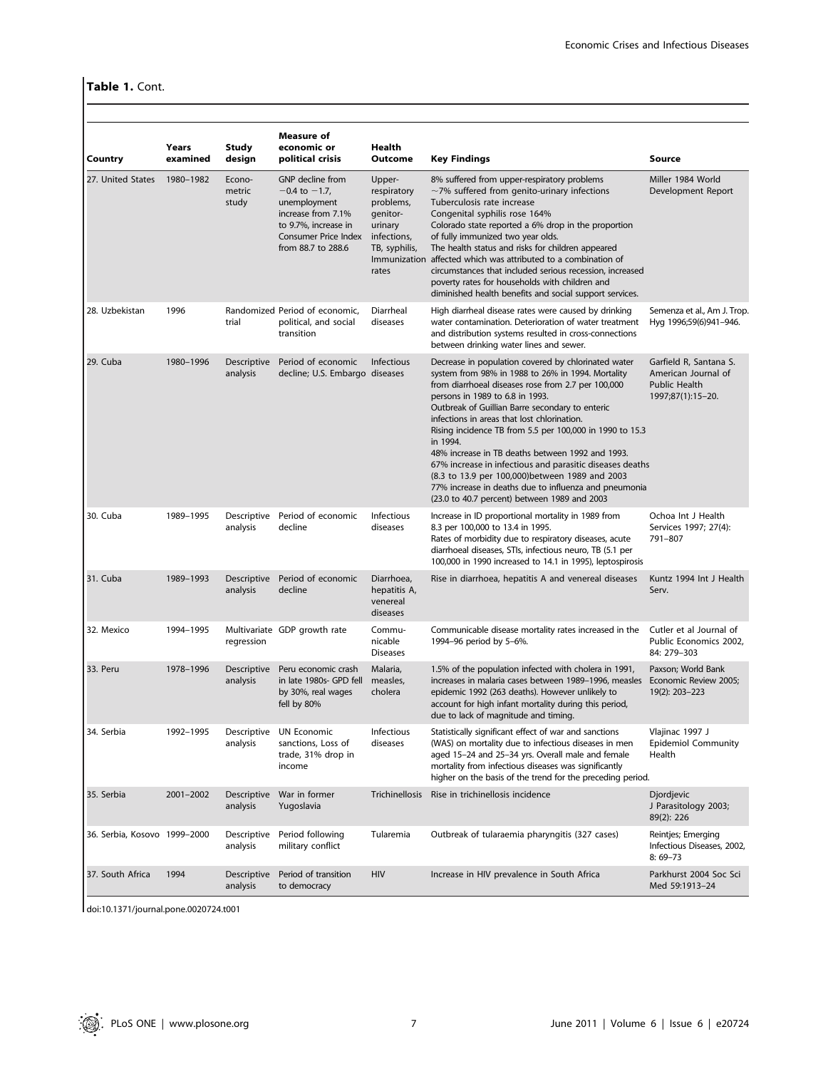# Table 1. Cont.

| Country                      | Years<br>examined | Study<br>design                | <b>Measure of</b><br>economic or<br>political crisis                                                                                               | Health<br><b>Outcome</b>                                                                           | <b>Key Findings</b>                                                                                                                                                                                                                                                                                                                                                                                                                                                                                                                                                                                                                                     | Source                                                                                     |
|------------------------------|-------------------|--------------------------------|----------------------------------------------------------------------------------------------------------------------------------------------------|----------------------------------------------------------------------------------------------------|---------------------------------------------------------------------------------------------------------------------------------------------------------------------------------------------------------------------------------------------------------------------------------------------------------------------------------------------------------------------------------------------------------------------------------------------------------------------------------------------------------------------------------------------------------------------------------------------------------------------------------------------------------|--------------------------------------------------------------------------------------------|
| 27. United States            | 1980-1982         | Econo-<br>metric<br>study      | GNP decline from<br>$-0.4$ to $-1.7$ ,<br>unemployment<br>increase from 7.1%<br>to 9.7%, increase in<br>Consumer Price Index<br>from 88.7 to 288.6 | Upper-<br>respiratory<br>problems,<br>genitor-<br>urinary<br>infections,<br>TB, syphilis,<br>rates | 8% suffered from upper-respiratory problems<br>$\sim$ 7% suffered from genito-urinary infections<br>Tuberculosis rate increase<br>Congenital syphilis rose 164%<br>Colorado state reported a 6% drop in the proportion<br>of fully immunized two year olds.<br>The health status and risks for children appeared<br>Immunization affected which was attributed to a combination of<br>circumstances that included serious recession, increased<br>poverty rates for households with children and<br>diminished health benefits and social support services.                                                                                             | Miller 1984 World<br>Development Report                                                    |
| 28. Uzbekistan               | 1996              | trial                          | Randomized Period of economic,<br>political, and social<br>transition                                                                              | Diarrheal<br>diseases                                                                              | High diarrheal disease rates were caused by drinking<br>water contamination. Deterioration of water treatment<br>and distribution systems resulted in cross-connections<br>between drinking water lines and sewer.                                                                                                                                                                                                                                                                                                                                                                                                                                      | Semenza et al., Am J. Trop.<br>Hyg 1996;59(6)941-946.                                      |
| 29. Cuba                     | 1980-1996         | <b>Descriptive</b><br>analysis | Period of economic<br>decline; U.S. Embargo diseases                                                                                               | Infectious                                                                                         | Decrease in population covered by chlorinated water<br>system from 98% in 1988 to 26% in 1994. Mortality<br>from diarrhoeal diseases rose from 2.7 per 100,000<br>persons in 1989 to 6.8 in 1993.<br>Outbreak of Guillian Barre secondary to enteric<br>infections in areas that lost chlorination.<br>Rising incidence TB from 5.5 per 100,000 in 1990 to 15.3<br>in 1994.<br>48% increase in TB deaths between 1992 and 1993.<br>67% increase in infectious and parasitic diseases deaths<br>(8.3 to 13.9 per 100,000) between 1989 and 2003<br>77% increase in deaths due to influenza and pneumonia<br>(23.0 to 40.7 percent) between 1989 and 2003 | Garfield R, Santana S.<br>American Journal of<br><b>Public Health</b><br>1997;87(1):15-20. |
| 30. Cuba                     | 1989-1995         | <b>Descriptive</b><br>analysis | Period of economic<br>decline                                                                                                                      | Infectious<br>diseases                                                                             | Increase in ID proportional mortality in 1989 from<br>8.3 per 100,000 to 13.4 in 1995.<br>Rates of morbidity due to respiratory diseases, acute<br>diarrhoeal diseases, STIs, infectious neuro, TB (5.1 per<br>100,000 in 1990 increased to 14.1 in 1995), leptospirosis                                                                                                                                                                                                                                                                                                                                                                                | Ochoa Int J Health<br>Services 1997; 27(4):<br>791-807                                     |
| 31. Cuba                     | 1989-1993         | <b>Descriptive</b><br>analysis | Period of economic<br>decline                                                                                                                      | Diarrhoea,<br>hepatitis A,<br>venereal<br>diseases                                                 | Rise in diarrhoea, hepatitis A and venereal diseases                                                                                                                                                                                                                                                                                                                                                                                                                                                                                                                                                                                                    | Kuntz 1994 Int J Health<br>Serv.                                                           |
| 32. Mexico                   | 1994-1995         | regression                     | Multivariate GDP growth rate                                                                                                                       | Commu-<br>nicable<br><b>Diseases</b>                                                               | Communicable disease mortality rates increased in the<br>1994-96 period by 5-6%.                                                                                                                                                                                                                                                                                                                                                                                                                                                                                                                                                                        | Cutler et al Journal of<br>Public Economics 2002,<br>84: 279-303                           |
| 33. Peru                     | 1978-1996         | Descriptive<br>analysis        | Peru economic crash<br>in late 1980s- GPD fell<br>by 30%, real wages<br>fell by 80%                                                                | Malaria,<br>measles,<br>cholera                                                                    | 1.5% of the population infected with cholera in 1991,<br>increases in malaria cases between 1989-1996, measles<br>epidemic 1992 (263 deaths). However unlikely to<br>account for high infant mortality during this period,<br>due to lack of magnitude and timing.                                                                                                                                                                                                                                                                                                                                                                                      | Paxson: World Bank<br>Economic Review 2005;<br>19(2): 203-223                              |
| 34. Serbia                   | 1992-1995         | Descriptive<br>analysis        | <b>UN Economic</b><br>sanctions, Loss of<br>trade, 31% drop in<br>income                                                                           | Infectious<br>diseases                                                                             | Statistically significant effect of war and sanctions<br>(WAS) on mortality due to infectious diseases in men<br>aged 15-24 and 25-34 yrs. Overall male and female<br>mortality from infectious diseases was significantly<br>higher on the basis of the trend for the preceding period.                                                                                                                                                                                                                                                                                                                                                                | Vlajinac 1997 J<br><b>Epidemiol Community</b><br>Health                                    |
| 35. Serbia                   | 2001-2002         | Descriptive<br>analysis        | War in former<br>Yugoslavia                                                                                                                        | <b>Trichinellosis</b>                                                                              | Rise in trichinellosis incidence                                                                                                                                                                                                                                                                                                                                                                                                                                                                                                                                                                                                                        | Djordjevic<br>J Parasitology 2003;<br>89(2): 226                                           |
| 36. Serbia, Kosovo 1999-2000 |                   | Descriptive<br>analysis        | Period following<br>military conflict                                                                                                              | Tularemia                                                                                          | Outbreak of tularaemia pharyngitis (327 cases)                                                                                                                                                                                                                                                                                                                                                                                                                                                                                                                                                                                                          | Reintjes; Emerging<br>Infectious Diseases, 2002,<br>$8:69 - 73$                            |
| 37. South Africa             | 1994              | Descriptive<br>analysis        | Period of transition<br>to democracy                                                                                                               | <b>HIV</b>                                                                                         | Increase in HIV prevalence in South Africa                                                                                                                                                                                                                                                                                                                                                                                                                                                                                                                                                                                                              | Parkhurst 2004 Soc Sci<br>Med 59:1913-24                                                   |

doi:10.1371/journal.pone.0020724.t001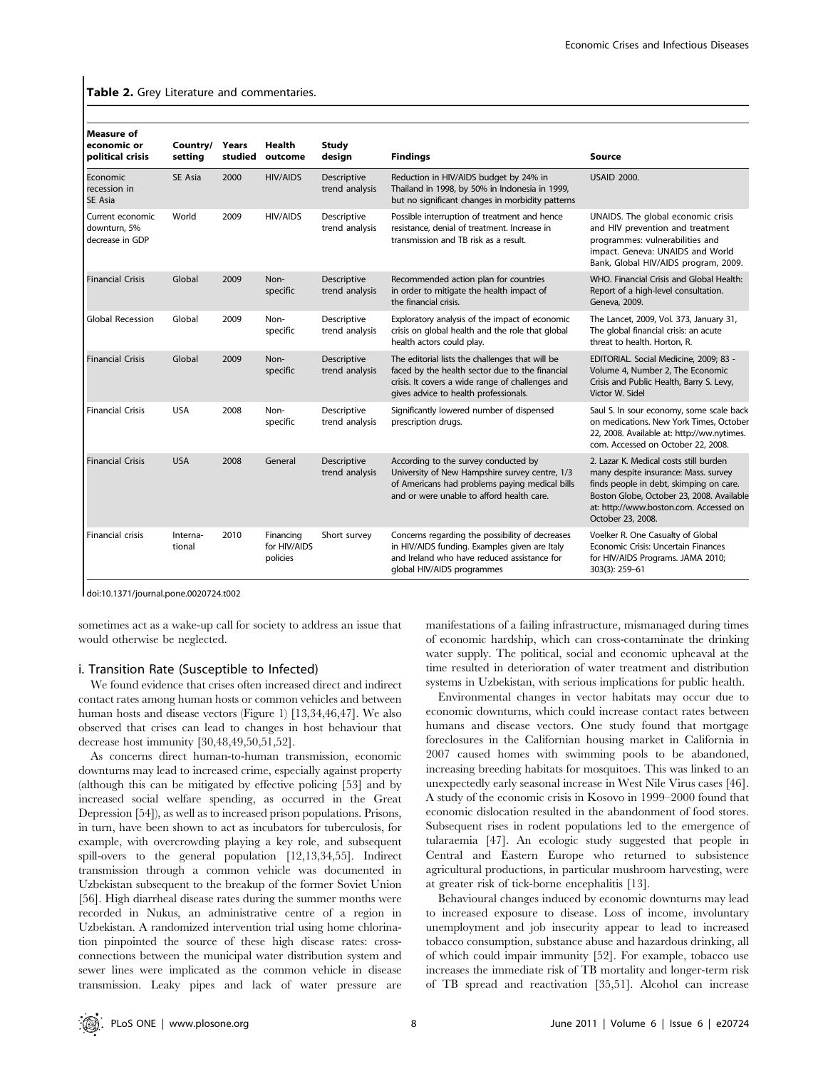Table 2. Grey Literature and commentaries.

| Measure of<br>economic or<br>political crisis       | Country/<br>setting | Years<br>studied | Health<br>outcome                     | <b>Study</b><br>design        | <b>Findings</b>                                                                                                                                                                                 | Source                                                                                                                                                                                                                                |
|-----------------------------------------------------|---------------------|------------------|---------------------------------------|-------------------------------|-------------------------------------------------------------------------------------------------------------------------------------------------------------------------------------------------|---------------------------------------------------------------------------------------------------------------------------------------------------------------------------------------------------------------------------------------|
| Economic<br>recession in<br>SE Asia                 | SE Asia             | 2000             | <b>HIV/AIDS</b>                       | Descriptive<br>trend analysis | Reduction in HIV/AIDS budget by 24% in<br>Thailand in 1998, by 50% in Indonesia in 1999,<br>but no significant changes in morbidity patterns                                                    | <b>USAID 2000.</b>                                                                                                                                                                                                                    |
| Current economic<br>downturn, 5%<br>decrease in GDP | World               | 2009             | <b>HIV/AIDS</b>                       | Descriptive<br>trend analysis | Possible interruption of treatment and hence<br>resistance, denial of treatment. Increase in<br>transmission and TB risk as a result.                                                           | UNAIDS. The global economic crisis<br>and HIV prevention and treatment<br>programmes: vulnerabilities and<br>impact. Geneva: UNAIDS and World<br>Bank, Global HIV/AIDS program, 2009.                                                 |
| <b>Financial Crisis</b>                             | Global              | 2009             | Non-<br>specific                      | Descriptive<br>trend analysis | Recommended action plan for countries<br>in order to mitigate the health impact of<br>the financial crisis.                                                                                     | WHO. Financial Crisis and Global Health:<br>Report of a high-level consultation.<br>Geneva, 2009.                                                                                                                                     |
| Global Recession                                    | Global              | 2009             | Non-<br>specific                      | Descriptive<br>trend analysis | Exploratory analysis of the impact of economic<br>crisis on global health and the role that global<br>health actors could play.                                                                 | The Lancet, 2009, Vol. 373, January 31,<br>The global financial crisis: an acute<br>threat to health. Horton, R.                                                                                                                      |
| <b>Financial Crisis</b>                             | Global              | 2009             | Non-<br>specific                      | Descriptive<br>trend analysis | The editorial lists the challenges that will be<br>faced by the health sector due to the financial<br>crisis. It covers a wide range of challenges and<br>gives advice to health professionals. | EDITORIAL. Social Medicine, 2009; 83 -<br>Volume 4, Number 2, The Economic<br>Crisis and Public Health, Barry S. Levy,<br>Victor W. Sidel                                                                                             |
| <b>Financial Crisis</b>                             | <b>USA</b>          | 2008             | Non-<br>specific                      | Descriptive<br>trend analysis | Significantly lowered number of dispensed<br>prescription drugs.                                                                                                                                | Saul S. In sour economy, some scale back<br>on medications. New York Times, October<br>22, 2008. Available at: http://ww.nytimes.<br>com. Accessed on October 22, 2008.                                                               |
| <b>Financial Crisis</b>                             | <b>USA</b>          | 2008             | General                               | Descriptive<br>trend analysis | According to the survey conducted by<br>University of New Hampshire survey centre, 1/3<br>of Americans had problems paying medical bills<br>and or were unable to afford health care.           | 2. Lazar K. Medical costs still burden<br>many despite insurance: Mass. survey<br>finds people in debt, skimping on care.<br>Boston Globe, October 23, 2008. Available<br>at: http://www.boston.com. Accessed on<br>October 23, 2008. |
| <b>Financial crisis</b>                             | Interna-<br>tional  | 2010             | Financing<br>for HIV/AIDS<br>policies | Short survey                  | Concerns regarding the possibility of decreases<br>in HIV/AIDS funding. Examples given are Italy<br>and Ireland who have reduced assistance for<br>global HIV/AIDS programmes                   | Voelker R. One Casualty of Global<br>Economic Crisis: Uncertain Finances<br>for HIV/AIDS Programs. JAMA 2010;<br>303(3): 259-61                                                                                                       |

doi:10.1371/journal.pone.0020724.t002

sometimes act as a wake-up call for society to address an issue that would otherwise be neglected.

## i. Transition Rate (Susceptible to Infected)

We found evidence that crises often increased direct and indirect contact rates among human hosts or common vehicles and between human hosts and disease vectors (Figure 1) [13,34,46,47]. We also observed that crises can lead to changes in host behaviour that decrease host immunity [30,48,49,50,51,52].

As concerns direct human-to-human transmission, economic downturns may lead to increased crime, especially against property (although this can be mitigated by effective policing [53] and by increased social welfare spending, as occurred in the Great Depression [54]), as well as to increased prison populations. Prisons, in turn, have been shown to act as incubators for tuberculosis, for example, with overcrowding playing a key role, and subsequent spill-overs to the general population [12,13,34,55]. Indirect transmission through a common vehicle was documented in Uzbekistan subsequent to the breakup of the former Soviet Union [56]. High diarrheal disease rates during the summer months were recorded in Nukus, an administrative centre of a region in Uzbekistan. A randomized intervention trial using home chlorination pinpointed the source of these high disease rates: crossconnections between the municipal water distribution system and sewer lines were implicated as the common vehicle in disease transmission. Leaky pipes and lack of water pressure are

manifestations of a failing infrastructure, mismanaged during times of economic hardship, which can cross-contaminate the drinking water supply. The political, social and economic upheaval at the time resulted in deterioration of water treatment and distribution systems in Uzbekistan, with serious implications for public health.

Environmental changes in vector habitats may occur due to economic downturns, which could increase contact rates between humans and disease vectors. One study found that mortgage foreclosures in the Californian housing market in California in 2007 caused homes with swimming pools to be abandoned, increasing breeding habitats for mosquitoes. This was linked to an unexpectedly early seasonal increase in West Nile Virus cases [46]. A study of the economic crisis in Kosovo in 1999–2000 found that economic dislocation resulted in the abandonment of food stores. Subsequent rises in rodent populations led to the emergence of tularaemia [47]. An ecologic study suggested that people in Central and Eastern Europe who returned to subsistence agricultural productions, in particular mushroom harvesting, were at greater risk of tick-borne encephalitis [13].

Behavioural changes induced by economic downturns may lead to increased exposure to disease. Loss of income, involuntary unemployment and job insecurity appear to lead to increased tobacco consumption, substance abuse and hazardous drinking, all of which could impair immunity [52]. For example, tobacco use increases the immediate risk of TB mortality and longer-term risk of TB spread and reactivation [35,51]. Alcohol can increase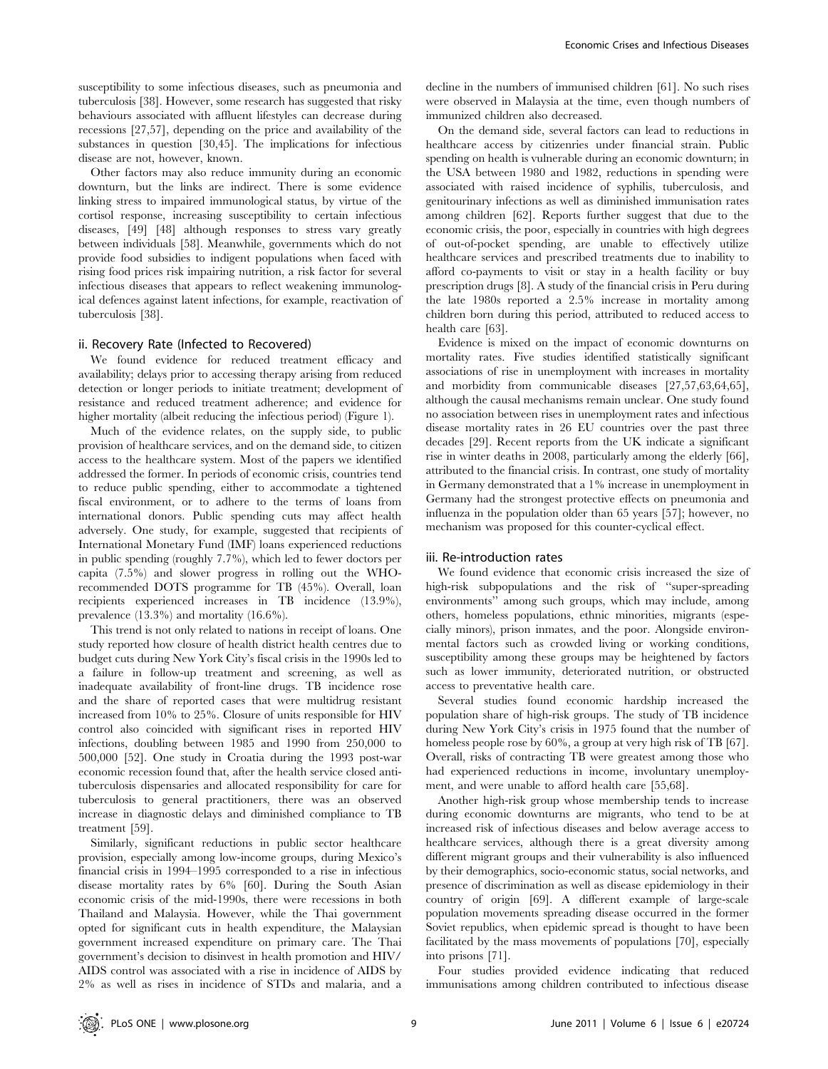susceptibility to some infectious diseases, such as pneumonia and tuberculosis [38]. However, some research has suggested that risky behaviours associated with affluent lifestyles can decrease during recessions [27,57], depending on the price and availability of the substances in question [30,45]. The implications for infectious disease are not, however, known.

Other factors may also reduce immunity during an economic downturn, but the links are indirect. There is some evidence linking stress to impaired immunological status, by virtue of the cortisol response, increasing susceptibility to certain infectious diseases, [49] [48] although responses to stress vary greatly between individuals [58]. Meanwhile, governments which do not provide food subsidies to indigent populations when faced with rising food prices risk impairing nutrition, a risk factor for several infectious diseases that appears to reflect weakening immunological defences against latent infections, for example, reactivation of tuberculosis [38].

## ii. Recovery Rate (Infected to Recovered)

We found evidence for reduced treatment efficacy and availability; delays prior to accessing therapy arising from reduced detection or longer periods to initiate treatment; development of resistance and reduced treatment adherence; and evidence for higher mortality (albeit reducing the infectious period) (Figure 1).

Much of the evidence relates, on the supply side, to public provision of healthcare services, and on the demand side, to citizen access to the healthcare system. Most of the papers we identified addressed the former. In periods of economic crisis, countries tend to reduce public spending, either to accommodate a tightened fiscal environment, or to adhere to the terms of loans from international donors. Public spending cuts may affect health adversely. One study, for example, suggested that recipients of International Monetary Fund (IMF) loans experienced reductions in public spending (roughly 7.7%), which led to fewer doctors per capita (7.5%) and slower progress in rolling out the WHOrecommended DOTS programme for TB (45%). Overall, loan recipients experienced increases in TB incidence (13.9%), prevalence (13.3%) and mortality (16.6%).

This trend is not only related to nations in receipt of loans. One study reported how closure of health district health centres due to budget cuts during New York City's fiscal crisis in the 1990s led to a failure in follow-up treatment and screening, as well as inadequate availability of front-line drugs. TB incidence rose and the share of reported cases that were multidrug resistant increased from 10% to 25%. Closure of units responsible for HIV control also coincided with significant rises in reported HIV infections, doubling between 1985 and 1990 from 250,000 to 500,000 [52]. One study in Croatia during the 1993 post-war economic recession found that, after the health service closed antituberculosis dispensaries and allocated responsibility for care for tuberculosis to general practitioners, there was an observed increase in diagnostic delays and diminished compliance to TB treatment [59].

Similarly, significant reductions in public sector healthcare provision, especially among low-income groups, during Mexico's financial crisis in 1994–1995 corresponded to a rise in infectious disease mortality rates by 6% [60]. During the South Asian economic crisis of the mid-1990s, there were recessions in both Thailand and Malaysia. However, while the Thai government opted for significant cuts in health expenditure, the Malaysian government increased expenditure on primary care. The Thai government's decision to disinvest in health promotion and HIV/ AIDS control was associated with a rise in incidence of AIDS by 2% as well as rises in incidence of STDs and malaria, and a

decline in the numbers of immunised children [61]. No such rises were observed in Malaysia at the time, even though numbers of immunized children also decreased.

On the demand side, several factors can lead to reductions in healthcare access by citizenries under financial strain. Public spending on health is vulnerable during an economic downturn; in the USA between 1980 and 1982, reductions in spending were associated with raised incidence of syphilis, tuberculosis, and genitourinary infections as well as diminished immunisation rates among children [62]. Reports further suggest that due to the economic crisis, the poor, especially in countries with high degrees of out-of-pocket spending, are unable to effectively utilize healthcare services and prescribed treatments due to inability to afford co-payments to visit or stay in a health facility or buy prescription drugs [8]. A study of the financial crisis in Peru during the late 1980s reported a 2.5% increase in mortality among children born during this period, attributed to reduced access to health care [63].

Evidence is mixed on the impact of economic downturns on mortality rates. Five studies identified statistically significant associations of rise in unemployment with increases in mortality and morbidity from communicable diseases [27,57,63,64,65], although the causal mechanisms remain unclear. One study found no association between rises in unemployment rates and infectious disease mortality rates in 26 EU countries over the past three decades [29]. Recent reports from the UK indicate a significant rise in winter deaths in 2008, particularly among the elderly [66], attributed to the financial crisis. In contrast, one study of mortality in Germany demonstrated that a 1% increase in unemployment in Germany had the strongest protective effects on pneumonia and influenza in the population older than 65 years [57]; however, no mechanism was proposed for this counter-cyclical effect.

#### iii. Re-introduction rates

We found evidence that economic crisis increased the size of high-risk subpopulations and the risk of ''super-spreading environments'' among such groups, which may include, among others, homeless populations, ethnic minorities, migrants (especially minors), prison inmates, and the poor. Alongside environmental factors such as crowded living or working conditions, susceptibility among these groups may be heightened by factors such as lower immunity, deteriorated nutrition, or obstructed access to preventative health care.

Several studies found economic hardship increased the population share of high-risk groups. The study of TB incidence during New York City's crisis in 1975 found that the number of homeless people rose by  $60\%$ , a group at very high risk of TB [67]. Overall, risks of contracting TB were greatest among those who had experienced reductions in income, involuntary unemployment, and were unable to afford health care [55,68].

Another high-risk group whose membership tends to increase during economic downturns are migrants, who tend to be at increased risk of infectious diseases and below average access to healthcare services, although there is a great diversity among different migrant groups and their vulnerability is also influenced by their demographics, socio-economic status, social networks, and presence of discrimination as well as disease epidemiology in their country of origin [69]. A different example of large-scale population movements spreading disease occurred in the former Soviet republics, when epidemic spread is thought to have been facilitated by the mass movements of populations [70], especially into prisons [71].

Four studies provided evidence indicating that reduced immunisations among children contributed to infectious disease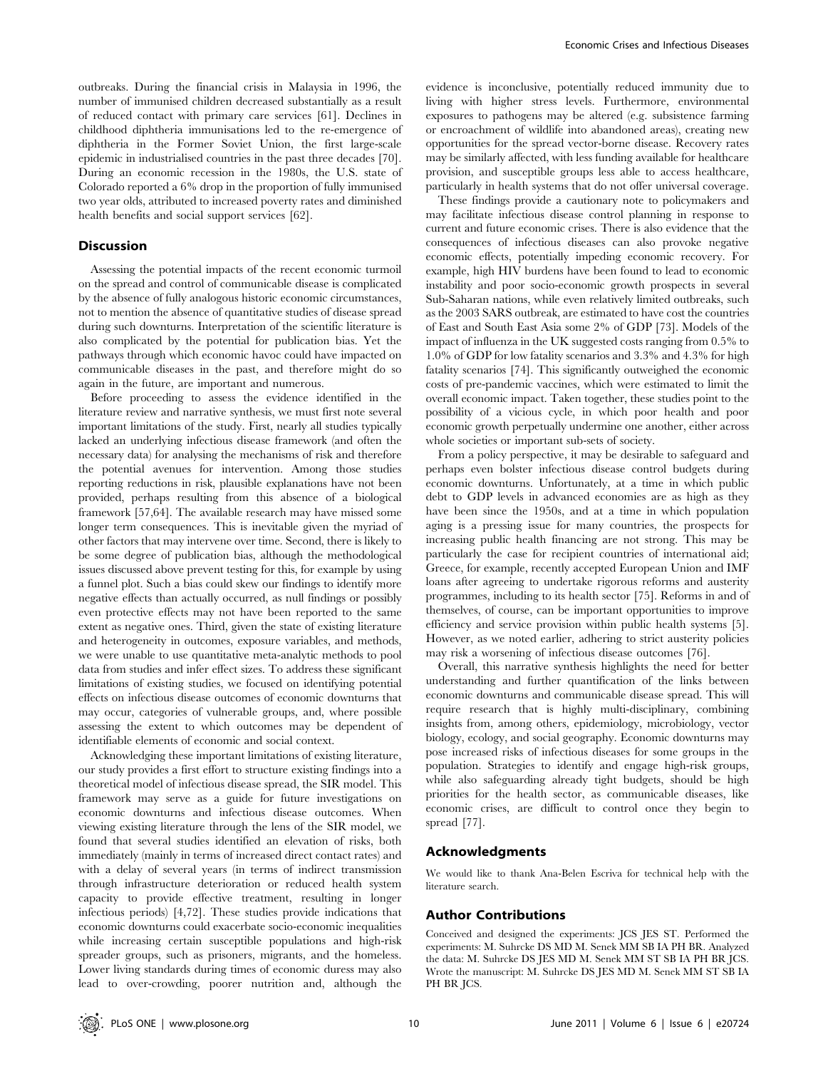outbreaks. During the financial crisis in Malaysia in 1996, the number of immunised children decreased substantially as a result of reduced contact with primary care services [61]. Declines in childhood diphtheria immunisations led to the re-emergence of diphtheria in the Former Soviet Union, the first large-scale epidemic in industrialised countries in the past three decades [70]. During an economic recession in the 1980s, the U.S. state of Colorado reported a 6% drop in the proportion of fully immunised two year olds, attributed to increased poverty rates and diminished health benefits and social support services [62].

# Discussion

Assessing the potential impacts of the recent economic turmoil on the spread and control of communicable disease is complicated by the absence of fully analogous historic economic circumstances, not to mention the absence of quantitative studies of disease spread during such downturns. Interpretation of the scientific literature is also complicated by the potential for publication bias. Yet the pathways through which economic havoc could have impacted on communicable diseases in the past, and therefore might do so again in the future, are important and numerous.

Before proceeding to assess the evidence identified in the literature review and narrative synthesis, we must first note several important limitations of the study. First, nearly all studies typically lacked an underlying infectious disease framework (and often the necessary data) for analysing the mechanisms of risk and therefore the potential avenues for intervention. Among those studies reporting reductions in risk, plausible explanations have not been provided, perhaps resulting from this absence of a biological framework [57,64]. The available research may have missed some longer term consequences. This is inevitable given the myriad of other factors that may intervene over time. Second, there is likely to be some degree of publication bias, although the methodological issues discussed above prevent testing for this, for example by using a funnel plot. Such a bias could skew our findings to identify more negative effects than actually occurred, as null findings or possibly even protective effects may not have been reported to the same extent as negative ones. Third, given the state of existing literature and heterogeneity in outcomes, exposure variables, and methods, we were unable to use quantitative meta-analytic methods to pool data from studies and infer effect sizes. To address these significant limitations of existing studies, we focused on identifying potential effects on infectious disease outcomes of economic downturns that may occur, categories of vulnerable groups, and, where possible assessing the extent to which outcomes may be dependent of identifiable elements of economic and social context.

Acknowledging these important limitations of existing literature, our study provides a first effort to structure existing findings into a theoretical model of infectious disease spread, the SIR model. This framework may serve as a guide for future investigations on economic downturns and infectious disease outcomes. When viewing existing literature through the lens of the SIR model, we found that several studies identified an elevation of risks, both immediately (mainly in terms of increased direct contact rates) and with a delay of several years (in terms of indirect transmission through infrastructure deterioration or reduced health system capacity to provide effective treatment, resulting in longer infectious periods) [4,72]. These studies provide indications that economic downturns could exacerbate socio-economic inequalities while increasing certain susceptible populations and high-risk spreader groups, such as prisoners, migrants, and the homeless. Lower living standards during times of economic duress may also lead to over-crowding, poorer nutrition and, although the

evidence is inconclusive, potentially reduced immunity due to living with higher stress levels. Furthermore, environmental exposures to pathogens may be altered (e.g. subsistence farming or encroachment of wildlife into abandoned areas), creating new opportunities for the spread vector-borne disease. Recovery rates may be similarly affected, with less funding available for healthcare provision, and susceptible groups less able to access healthcare, particularly in health systems that do not offer universal coverage.

These findings provide a cautionary note to policymakers and may facilitate infectious disease control planning in response to current and future economic crises. There is also evidence that the consequences of infectious diseases can also provoke negative economic effects, potentially impeding economic recovery. For example, high HIV burdens have been found to lead to economic instability and poor socio-economic growth prospects in several Sub-Saharan nations, while even relatively limited outbreaks, such as the 2003 SARS outbreak, are estimated to have cost the countries of East and South East Asia some 2% of GDP [73]. Models of the impact of influenza in the UK suggested costs ranging from 0.5% to 1.0% of GDP for low fatality scenarios and 3.3% and 4.3% for high fatality scenarios [74]. This significantly outweighed the economic costs of pre-pandemic vaccines, which were estimated to limit the overall economic impact. Taken together, these studies point to the possibility of a vicious cycle, in which poor health and poor economic growth perpetually undermine one another, either across whole societies or important sub-sets of society.

From a policy perspective, it may be desirable to safeguard and perhaps even bolster infectious disease control budgets during economic downturns. Unfortunately, at a time in which public debt to GDP levels in advanced economies are as high as they have been since the 1950s, and at a time in which population aging is a pressing issue for many countries, the prospects for increasing public health financing are not strong. This may be particularly the case for recipient countries of international aid; Greece, for example, recently accepted European Union and IMF loans after agreeing to undertake rigorous reforms and austerity programmes, including to its health sector [75]. Reforms in and of themselves, of course, can be important opportunities to improve efficiency and service provision within public health systems [5]. However, as we noted earlier, adhering to strict austerity policies may risk a worsening of infectious disease outcomes [76].

Overall, this narrative synthesis highlights the need for better understanding and further quantification of the links between economic downturns and communicable disease spread. This will require research that is highly multi-disciplinary, combining insights from, among others, epidemiology, microbiology, vector biology, ecology, and social geography. Economic downturns may pose increased risks of infectious diseases for some groups in the population. Strategies to identify and engage high-risk groups, while also safeguarding already tight budgets, should be high priorities for the health sector, as communicable diseases, like economic crises, are difficult to control once they begin to spread [77].

## Acknowledgments

We would like to thank Ana-Belen Escriva for technical help with the literature search.

#### Author Contributions

Conceived and designed the experiments: JCS JES ST. Performed the experiments: M. Suhrcke DS MD M. Senek MM SB IA PH BR. Analyzed the data: M. Suhrcke DS JES MD M. Senek MM ST SB IA PH BR JCS. Wrote the manuscript: M. Suhrcke DS JES MD M. Senek MM ST SB IA PH BR JCS.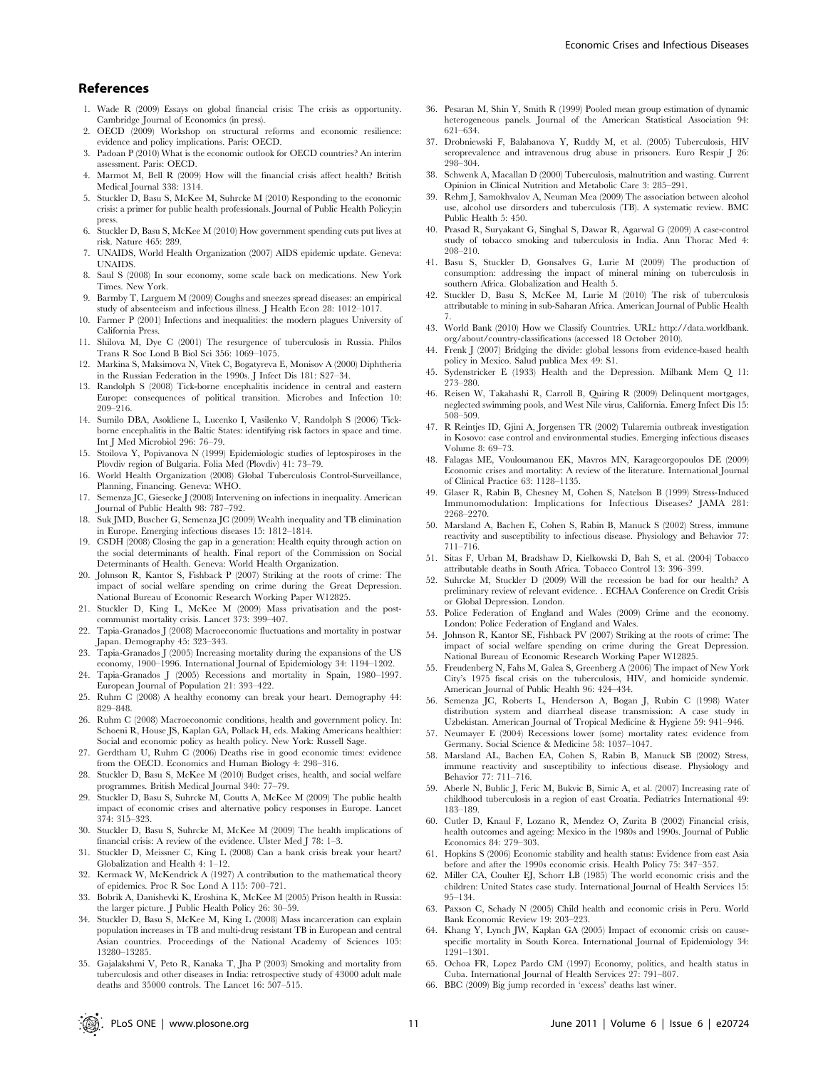## References

- 1. Wade R (2009) Essays on global financial crisis: The crisis as opportunity. Cambridge Journal of Economics (in press).
- 2. OECD (2009) Workshop on structural reforms and economic resilience: evidence and policy implications. Paris: OECD.
- 3. Padoan P (2010) What is the economic outlook for OECD countries? An interim assessment. Paris: OECD.
- 4. Marmot M, Bell R (2009) How will the financial crisis affect health? British Medical Journal 338: 1314.
- 5. Stuckler D, Basu S, McKee M, Suhrcke M (2010) Responding to the economic crisis: a primer for public health professionals. Journal of Public Health Policy;in press.
- 6. Stuckler D, Basu S, McKee M (2010) How government spending cuts put lives at risk. Nature 465: 289.
- 7. UNAIDS, World Health Organization (2007) AIDS epidemic update. Geneva: UNAIDS.
- 8. Saul S (2008) In sour economy, some scale back on medications. New York Times. New York.
- 9. Barmby T, Larguem M (2009) Coughs and sneezes spread diseases: an empirical study of absenteeism and infectious illness. J Health Econ 28: 1012–1017.
- 10. Farmer P (2001) Infections and inequalities: the modern plagues University of California Press.
- 11. Shilova M, Dye C (2001) The resurgence of tuberculosis in Russia. Philos Trans R Soc Lond B Biol Sci 356: 1069–1075.
- 12. Markina S, Maksimova N, Vitek C, Bogatyreva E, Monisov A (2000) Diphtheria in the Russian Federation in the 1990s. J Infect Dis 181: S27–34.
- 13. Randolph S (2008) Tick-borne encephalitis incidence in central and eastern Europe: consequences of political transition. Microbes and Infection 10: 209–216.
- 14. Sumilo DBA, Asokliene L, Lucenko I, Vasilenko V, Randolph S (2006) Tickborne encephalitis in the Baltic States: identifying risk factors in space and time. Int J Med Microbiol 296: 76–79.
- 15. Stoilova Y, Popivanova N (1999) Epidemiologic studies of leptospiroses in the Plovdiv region of Bulgaria. Folia Med (Plovdiv) 41: 73–79.
- 16. World Health Organization (2008) Global Tuberculosis Control-Surveillance, Planning, Financing. Geneva: WHO.
- 17. Semenza JC, Giesecke J (2008) Intervening on infections in inequality. American Journal of Public Health 98: 787–792.
- 18. Suk JMD, Buscher G, Semenza JC (2009) Wealth inequality and TB elimination in Europe. Emerging infectious diseases 15: 1812–1814.
- 19. CSDH (2008) Closing the gap in a generation: Health equity through action on the social determinants of health. Final report of the Commission on Social Determinants of Health. Geneva: World Health Organization.
- 20. Johnson R, Kantor S, Fishback P (2007) Striking at the roots of crime: The impact of social welfare spending on crime during the Great Depression. National Bureau of Economic Research Working Paper W12825.
- 21. Stuckler D, King L, McKee M (2009) Mass privatisation and the postcommunist mortality crisis. Lancet 373: 399–407.
- 22. Tapia-Granados J (2008) Macroeconomic fluctuations and mortality in postwar Japan. Demography 45: 323–343.
- 23. Tapia-Granados J (2005) Increasing mortality during the expansions of the US economy, 1900–1996. International Journal of Epidemiology 34: 1194–1202.
- 24. Tapia-Granados J (2005) Recessions and mortality in Spain, 1980–1997. European Journal of Population 21: 393–422.
- 25. Ruhm C (2008) A healthy economy can break your heart. Demography 44: 829–848.
- 26. Ruhm C (2008) Macroeconomic conditions, health and government policy. In: Schoeni R, House JS, Kaplan GA, Pollack H, eds. Making Americans healthier: Social and economic policy as health policy. New York: Russell Sage.
- 27. Gerdtham U, Ruhm C (2006) Deaths rise in good economic times: evidence from the OECD. Economics and Human Biology 4: 298–316.
- 28. Stuckler D, Basu S, McKee M (2010) Budget crises, health, and social welfare programmes. British Medical Journal 340: 77–79.
- 29. Stuckler D, Basu S, Suhrcke M, Coutts A, McKee M (2009) The public health impact of economic crises and alternative policy responses in Europe. Lancet 374: 315–323.
- 30. Stuckler D, Basu S, Suhrcke M, McKee M (2009) The health implications of financial crisis: A review of the evidence. Ulster Med J 78: 1–3.
- 31. Stuckler D, Meissner C, King L (2008) Can a bank crisis break your heart? Globalization and Health 4: 1–12.
- 32. Kermack W, McKendrick A (1927) A contribution to the mathematical theory of epidemics. Proc R Soc Lond A 115: 700–721.
- 33. Bobrik A, Danishevki K, Eroshina K, McKee M (2005) Prison health in Russia: the larger picture. J Public Health Policy 26: 30–59.
- 34. Stuckler D, Basu S, McKee M, King L (2008) Mass incarceration can explain population increases in TB and multi-drug resistant TB in European and central Asian countries. Proceedings of the National Academy of Sciences 105: 13280–13285.
- 35. Gajalakshmi V, Peto R, Kanaka T, Jha P (2003) Smoking and mortality from tuberculosis and other diseases in India: retrospective study of 43000 adult male deaths and 35000 controls. The Lancet 16: 507–515.
- 36. Pesaran M, Shin Y, Smith R (1999) Pooled mean group estimation of dynamic heterogeneous panels. Journal of the American Statistical Association 94: 621–634.
- 37. Drobniewski F, Balabanova Y, Ruddy M, et al. (2005) Tuberculosis, HIV seroprevalence and intravenous drug abuse in prisoners. Euro Respir J 26: 298–304.
- 38. Schwenk A, Macallan D (2000) Tuberculosis, malnutrition and wasting. Current Opinion in Clinical Nutrition and Metabolic Care 3: 285–291.
- 39. Rehm J, Samokhvalov A, Neuman Mea (2009) The association between alcohol use, alcohol use dirsorders and tuberculosis (TB). A systematic review. BMC Public Health 5: 450.
- 40. Prasad R, Suryakant G, Singhal S, Dawar R, Agarwal G (2009) A case-control study of tobacco smoking and tuberculosis in India. Ann Thorac Med 4: 208–210.
- 41. Basu S, Stuckler D, Gonsalves G, Lurie M (2009) The production of consumption: addressing the impact of mineral mining on tuberculosis in southern Africa. Globalization and Health 5.
- 42. Stuckler D, Basu S, McKee M, Lurie M (2010) The risk of tuberculosis attributable to mining in sub-Saharan Africa. American Journal of Public Health 7.
- 43. World Bank (2010) How we Classify Countries. URL: http://data.worldbank. org/about/country-classifications (accessed 18 October 2010).
- 44. Frenk J (2007) Bridging the divide: global lessons from evidence-based health policy in Mexico. Salud publica Mex 49: S1.
- 45. Sydenstricker E (1933) Health and the Depression. Milbank Mem Q 11: 273–280.
- 46. Reisen W, Takahashi R, Carroll B, Quiring R (2009) Delinquent mortgag neglected swimming pools, and West Nile virus, California. Emerg Infect Dis 15: 508–509.
- 47. R Reintjes ID, Gjini A, Jorgensen TR (2002) Tularemia outbreak investigation in Kosovo: case control and environmental studies. Emerging infectious diseases Volume 8: 69–73.
- 48. Falagas ME, Vouloumanou EK, Mavros MN, Karageorgopoulos DE (2009) Economic crises and mortality: A review of the literature. International Journal of Clinical Practice 63: 1128–1135.
- 49. Glaser R, Rabin B, Chesney M, Cohen S, Natelson B (1999) Stress-Induced Immunomodulation: Implications for Infectious Diseases? JAMA 281: 2268–2270.
- 50. Marsland A, Bachen E, Cohen S, Rabin B, Manuck S (2002) Stress, immune reactivity and susceptibility to infectious disease. Physiology and Behavior 77: 711–716.
- 51. Sitas F, Urban M, Bradshaw D, Kielkowski D, Bah S, et al. (2004) Tobacco attributable deaths in South Africa. Tobacco Control 13: 396–399.
- 52. Suhrcke M, Stuckler D (2009) Will the recession be bad for our health? A preliminary review of relevant evidence. . ECHAA Conference on Credit Crisis or Global Depression. London.
- 53. Police Federation of England and Wales (2009) Crime and the economy. London: Police Federation of England and Wales.
- 54. Johnson R, Kantor SE, Fishback PV (2007) Striking at the roots of crime: The impact of social welfare spending on crime during the Great Depression. National Bureau of Economic Research Working Paper W12825.
- 55. Freudenberg N, Fahs M, Galea S, Greenberg A (2006) The impact of New York City's 1975 fiscal crisis on the tuberculosis, HIV, and homicide syndemic. American Journal of Public Health 96: 424–434.
- 56. Semenza JC, Roberts L, Henderson A, Bogan J, Rubin C (1998) Water distribution system and diarrheal disease transmission: A case study in Uzbekistan. American Journal of Tropical Medicine & Hygiene 59: 941–946.
- 57. Neumayer E (2004) Recessions lower (some) mortality rates: evidence from Germany. Social Science & Medicine 58: 1037–1047.
- 58. Marsland AL, Bachen EA, Cohen S, Rabin B, Manuck SB (2002) Stress, immune reactivity and susceptibility to infectious disease. Physiology and Behavior 77: 711–716.
- 59. Aberle N, Bublic J, Feric M, Bukvic B, Simic A, et al. (2007) Increasing rate of childhood tuberculosis in a region of east Croatia. Pediatrics International 49: 183–189.
- 60. Cutler D, Knaul F, Lozano R, Mendez O, Zurita B (2002) Financial crisis, health outcomes and ageing: Mexico in the 1980s and 1990s. Journal of Public Economics 84: 279–303.
- 61. Hopkins S (2006) Economic stability and health status: Evidence from east Asia before and after the 1990s economic crisis. Health Policy 75: 347–357.
- 62. Miller CA, Coulter EJ, Schorr LB (1985) The world economic crisis and the children: United States case study. International Journal of Health Services 15: 95–134.
- 63. Paxson C, Schady N (2005) Child health and economic crisis in Peru. World Bank Economic Review 19: 203–223.
- 64. Khang Y, Lynch JW, Kaplan GA (2005) Impact of economic crisis on causespecific mortality in South Korea. International Journal of Epidemiology 34: 1291–1301.
- 65. Ochoa FR, Lopez Pardo CM (1997) Economy, politics, and health status in Cuba. International Journal of Health Services 27: 791–807.
- 66. BBC (2009) Big jump recorded in 'excess' deaths last winer.